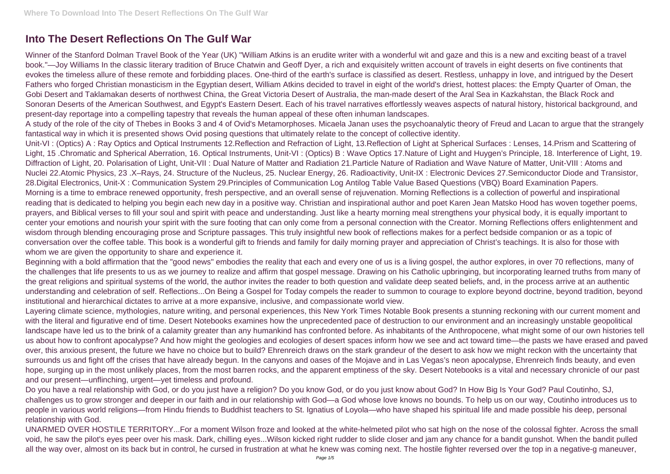## **Into The Desert Reflections On The Gulf War**

Winner of the Stanford Dolman Travel Book of the Year (UK) "William Atkins is an erudite writer with a wonderful wit and gaze and this is a new and exciting beast of a travel book."—Joy Williams In the classic literary tradition of Bruce Chatwin and Geoff Dyer, a rich and exquisitely written account of travels in eight deserts on five continents that evokes the timeless allure of these remote and forbidding places. One-third of the earth's surface is classified as desert. Restless, unhappy in love, and intrigued by the Desert Fathers who forged Christian monasticism in the Egyptian desert, William Atkins decided to travel in eight of the world's driest, hottest places: the Empty Quarter of Oman, the Gobi Desert and Taklamakan deserts of northwest China, the Great Victoria Desert of Australia, the man-made desert of the Aral Sea in Kazkahstan, the Black Rock and Sonoran Deserts of the American Southwest, and Egypt's Eastern Desert. Each of his travel narratives effortlessly weaves aspects of natural history, historical background, and present-day reportage into a compelling tapestry that reveals the human appeal of these often inhuman landscapes.

Unit-VI : (Optics) A : Ray Optics and Optical Instruments 12.Reflection and Refraction of Light, 13.Reflection of Light at Spherical Surfaces : Lenses, 14.Prism and Scattering of Light, 15 .Chromatic and Spherical Aberration, 16. Optical Instruments, Unit-VI : (Optics) B : Wave Optics 17.Nature of Light and Huygen's Principle, 18. Interference of Light, 19. Diffraction of Light, 20. Polarisation of Light, Unit-VII : Dual Nature of Matter and Radiation 21.Particle Nature of Radiation and Wave Nature of Matter, Unit-VIII : Atoms and Nuclei 22.Atomic Physics, 23 .X–Rays, 24. Structure of the Nucleus, 25. Nuclear Energy, 26. Radioactivity, Unit-IX : Electronic Devices 27.Semiconductor Diode and Transistor, 28.Digital Electronics, Unit-X : Communication System 29.Principles of Communication Log Antilog Table Value Based Questions (VBQ) Board Examination Papers. Morning is a time to embrace renewed opportunity, fresh perspective, and an overall sense of rejuvenation. Morning Reflections is a collection of powerful and inspirational reading that is dedicated to helping you begin each new day in a positive way. Christian and inspirational author and poet Karen Jean Matsko Hood has woven together poems, prayers, and Biblical verses to fill your soul and spirit with peace and understanding. Just like a hearty morning meal strengthens your physical body, it is equally important to center your emotions and nourish your spirit with the sure footing that can only come from a personal connection with the Creator. Morning Reflections offers enlightenment and wisdom through blending encouraging prose and Scripture passages. This truly insightful new book of reflections makes for a perfect bedside companion or as a topic of conversation over the coffee table. This book is a wonderful gift to friends and family for daily morning prayer and appreciation of Christ's teachings. It is also for those with whom we are given the opportunity to share and experience it.

A study of the role of the city of Thebes in Books 3 and 4 of Ovid's Metamorphoses. Micaela Janan uses the psychoanalytic theory of Freud and Lacan to argue that the strangely fantastical way in which it is presented shows Ovid posing questions that ultimately relate to the concept of collective identity.

Beginning with a bold affirmation that the "good news" embodies the reality that each and every one of us is a living gospel, the author explores, in over 70 reflections, many of the challenges that life presents to us as we journey to realize and affirm that gospel message. Drawing on his Catholic upbringing, but incorporating learned truths from many of the great religions and spiritual systems of the world, the author invites the reader to both question and validate deep seated beliefs, and, in the process arrive at an authentic understanding and celebration of self. Reflections...On Being a Gospel for Today compels the reader to summon to courage to explore beyond doctrine, beyond tradition, beyond institutional and hierarchical dictates to arrive at a more expansive, inclusive, and compassionate world view.

Layering climate science, mythologies, nature writing, and personal experiences, this New York Times Notable Book presents a stunning reckoning with our current moment and with the literal and figurative end of time. Desert Notebooks examines how the unprecedented pace of destruction to our environment and an increasingly unstable geopolitical landscape have led us to the brink of a calamity greater than any humankind has confronted before. As inhabitants of the Anthropocene, what might some of our own histories tell us about how to confront apocalypse? And how might the geologies and ecologies of desert spaces inform how we see and act toward time—the pasts we have erased and paved over, this anxious present, the future we have no choice but to build? Ehrenreich draws on the stark grandeur of the desert to ask how we might reckon with the uncertainty that surrounds us and fight off the crises that have already begun. In the canyons and oases of the Mojave and in Las Vegas's neon apocalypse, Ehrenreich finds beauty, and even hope, surging up in the most unlikely places, from the most barren rocks, and the apparent emptiness of the sky. Desert Notebooks is a vital and necessary chronicle of our past and our present—unflinching, urgent—yet timeless and profound.

Do you have a real relationship with God, or do you just have a religion? Do you know God, or do you just know about God? In How Big Is Your God? Paul Coutinho, SJ, challenges us to grow stronger and deeper in our faith and in our relationship with God—a God whose love knows no bounds. To help us on our way, Coutinho introduces us to people in various world religions—from Hindu friends to Buddhist teachers to St. Ignatius of Loyola—who have shaped his spiritual life and made possible his deep, personal relationship with God.

UNARMED OVER HOSTILE TERRITORY...For a moment Wilson froze and looked at the white-helmeted pilot who sat high on the nose of the colossal fighter. Across the small void, he saw the pilot's eyes peer over his mask. Dark, chilling eyes...Wilson kicked right rudder to slide closer and jam any chance for a bandit gunshot. When the bandit pulled all the way over, almost on its back but in control, he cursed in frustration at what he knew was coming next. The hostile fighter reversed over the top in a negative-g maneuver,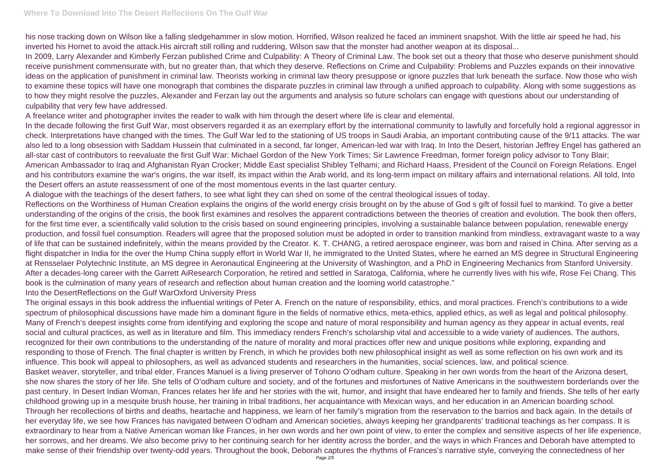his nose tracking down on Wilson like a falling sledgehammer in slow motion. Horrified, Wilson realized he faced an imminent snapshot. With the little air speed he had, his inverted his Hornet to avoid the attack.His aircraft still rolling and ruddering, Wilson saw that the monster had another weapon at its disposal... In 2009, Larry Alexander and Kimberly Ferzan published Crime and Culpability: A Theory of Criminal Law. The book set out a theory that those who deserve punishment should receive punishment commensurate with, but no greater than, that which they deserve. Reflections on Crime and Culpability: Problems and Puzzles expands on their innovative ideas on the application of punishment in criminal law. Theorists working in criminal law theory presuppose or ignore puzzles that lurk beneath the surface. Now those who wish to examine these topics will have one monograph that combines the disparate puzzles in criminal law through a unified approach to culpability. Along with some suggestions as to how they might resolve the puzzles, Alexander and Ferzan lay out the arguments and analysis so future scholars can engage with questions about our understanding of culpability that very few have addressed.

A freelance writer and photographer invites the reader to walk with him through the desert where life is clear and elemental.

In the decade following the first Gulf War, most observers regarded it as an exemplary effort by the international community to lawfully and forcefully hold a regional aggressor in check. Interpretations have changed with the times. The Gulf War led to the stationing of US troops in Saudi Arabia, an important contributing cause of the 9/11 attacks. The war also led to a long obsession with Saddam Hussein that culminated in a second, far longer, American-led war with Iraq. In Into the Desert, historian Jeffrey Engel has gathered an all-star cast of contributors to reevaluate the first Gulf War: Michael Gordon of the New York Times; Sir Lawrence Freedman, former foreign policy advisor to Tony Blair; American Ambassador to Iraq and Afghanistan Ryan Crocker; Middle East specialist Shibley Telhami; and Richard Haass, President of the Council on Foreign Relations. Engel and his contributors examine the war's origins, the war itself, its impact within the Arab world, and its long-term impact on military affairs and international relations. All told, Into the Desert offers an astute reassessment of one of the most momentous events in the last quarter century.

A dialogue with the teachings of the desert fathers, to see what light they can shed on some of the central theological issues of today.

Reflections on the Worthiness of Human Creation explains the origins of the world energy crisis brought on by the abuse of God s gift of fossil fuel to mankind. To give a better understanding of the origins of the crisis, the book first examines and resolves the apparent contradictions between the theories of creation and evolution. The book then offers, for the first time ever, a scientifically valid solution to the crisis based on sound engineering principles, involving a sustainable balance between population, renewable energy production, and fossil fuel consumption. Readers will agree that the proposed solution must be adopted in order to transition mankind from mindless, extravagant waste to a way of life that can be sustained indefinitely, within the means provided by the Creator. K. T. CHANG, a retired aerospace engineer, was born and raised in China. After serving as a flight dispatcher in India for the over the Hump China supply effort in World War II, he immigrated to the United States, where he earned an MS degree in Structural Engineering at Rensselaer Polytechnic Institute, an MS degree in Aeronautical Engineering at the University of Washington, and a PhD in Engineering Mechanics from Stanford University. After a decades-long career with the Garrett AiResearch Corporation, he retired and settled in Saratoga, California, where he currently lives with his wife, Rose Fei Chang. This book is the culmination of many years of research and reflection about human creation and the looming world catastrophe." Into the DesertReflections on the Gulf WarOxford University Press

The original essays in this book address the influential writings of Peter A. French on the nature of responsibility, ethics, and moral practices. French's contributions to a wide spectrum of philosophical discussions have made him a dominant figure in the fields of normative ethics, meta-ethics, applied ethics, as well as legal and political philosophy. Many of French's deepest insights come from identifying and exploring the scope and nature of moral responsibility and human agency as they appear in actual events, real social and cultural practices, as well as in literature and film. This immediacy renders French's scholarship vital and accessible to a wide variety of audiences. The authors, recognized for their own contributions to the understanding of the nature of morality and moral practices offer new and unique positions while exploring, expanding and responding to those of French. The final chapter is written by French, in which he provides both new philosophical insight as well as some reflection on his own work and its influence. This book will appeal to philosophers, as well as advanced students and researchers in the humanities, social sciences, law, and political science. Basket weaver, storyteller, and tribal elder, Frances Manuel is a living preserver of Tohono O'odham culture. Speaking in her own words from the heart of the Arizona desert, she now shares the story of her life. She tells of O'odham culture and society, and of the fortunes and misfortunes of Native Americans in the southwestern borderlands over the past century. In Desert Indian Woman, Frances relates her life and her stories with the wit, humor, and insight that have endeared her to family and friends. She tells of her early childhood growing up in a mesquite brush house, her training in tribal traditions, her acquaintance with Mexican ways, and her education in an American boarding school. Through her recollections of births and deaths, heartache and happiness, we learn of her family's migration from the reservation to the barrios and back again. In the details of her everyday life, we see how Frances has navigated between O'odham and American societies, always keeping her grandparents' traditional teachings as her compass. It is extraordinary to hear from a Native American woman like Frances, in her own words and her own point of view, to enter the complex and sensitive aspects of her life experience, her sorrows, and her dreams. We also become privy to her continuing search for her identity across the border, and the ways in which Frances and Deborah have attempted to make sense of their friendship over twenty-odd years. Throughout the book, Deborah captures the rhythms of Frances's narrative style, conveying the connectedness of her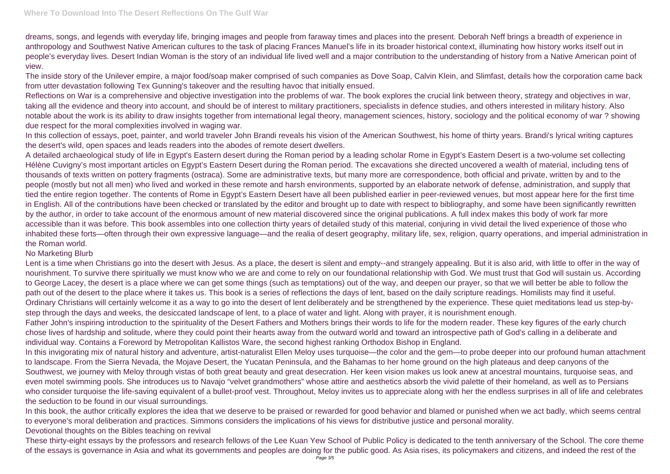dreams, songs, and legends with everyday life, bringing images and people from faraway times and places into the present. Deborah Neff brings a breadth of experience in anthropology and Southwest Native American cultures to the task of placing Frances Manuel's life in its broader historical context, illuminating how history works itself out in people's everyday lives. Desert Indian Woman is the story of an individual life lived well and a major contribution to the understanding of history from a Native American point of view.

The inside story of the Unilever empire, a major food/soap maker comprised of such companies as Dove Soap, Calvin Klein, and Slimfast, details how the corporation came back from utter devastation following Tex Gunning's takeover and the resulting havoc that initially ensued.

Reflections on War is a comprehensive and objective investigation into the problems of war. The book explores the crucial link between theory, strategy and objectives in war, taking all the evidence and theory into account, and should be of interest to military practitioners, specialists in defence studies, and others interested in military history. Also notable about the work is its ability to draw insights together from international legal theory, management sciences, history, sociology and the political economy of war ? showing due respect for the moral complexities involved in waging war.

In this collection of essays, poet, painter, and world traveler John Brandi reveals his vision of the American Southwest, his home of thirty years. Brandi's lyrical writing captures the desert's wild, open spaces and leads readers into the abodes of remote desert dwellers.

A detailed archaeological study of life in Egypt's Eastern desert during the Roman period by a leading scholar Rome in Egypt's Eastern Desert is a two-volume set collecting Hélène Cuvigny's most important articles on Egypt's Eastern Desert during the Roman period. The excavations she directed uncovered a wealth of material, including tens of thousands of texts written on pottery fragments (ostraca). Some are administrative texts, but many more are correspondence, both official and private, written by and to the people (mostly but not all men) who lived and worked in these remote and harsh environments, supported by an elaborate network of defense, administration, and supply that tied the entire region together. The contents of Rome in Egypt's Eastern Desert have all been published earlier in peer-reviewed venues, but most appear here for the first time in English. All of the contributions have been checked or translated by the editor and brought up to date with respect to bibliography, and some have been significantly rewritten by the author, in order to take account of the enormous amount of new material discovered since the original publications. A full index makes this body of work far more accessible than it was before. This book assembles into one collection thirty years of detailed study of this material, conjuring in vivid detail the lived experience of those who inhabited these forts—often through their own expressive language—and the realia of desert geography, military life, sex, religion, quarry operations, and imperial administration in the Roman world.

## No Marketing Blurb

Lent is a time when Christians go into the desert with Jesus. As a place, the desert is silent and empty--and strangely appealing. But it is also arid, with little to offer in the way of nourishment. To survive there spiritually we must know who we are and come to rely on our foundational relationship with God. We must trust that God will sustain us. According to George Lacey, the desert is a place where we can get some things (such as temptations) out of the way, and deepen our prayer, so that we will better be able to follow the path out of the desert to the place where it takes us. This book is a series of reflections the days of lent, based on the daily scripture readings. Homilists may find it useful. Ordinary Christians will certainly welcome it as a way to go into the desert of lent deliberately and be strengthened by the experience. These quiet meditations lead us step-bystep through the days and weeks, the desiccated landscape of lent, to a place of water and light. Along with prayer, it is nourishment enough. Father John's inspiring introduction to the spirituality of the Desert Fathers and Mothers brings their words to life for the modern reader. These key figures of the early church chose lives of hardship and solitude, where they could point their hearts away from the outward world and toward an introspective path of God's calling in a deliberate and individual way. Contains a Foreword by Metropolitan Kallistos Ware, the second highest ranking Orthodox Bishop in England.

In this invigorating mix of natural history and adventure, artist-naturalist Ellen Meloy uses turquoise—the color and the gem—to probe deeper into our profound human attachment to landscape. From the Sierra Nevada, the Mojave Desert, the Yucatan Peninsula, and the Bahamas to her home ground on the high plateaus and deep canyons of the Southwest, we journey with Meloy through vistas of both great beauty and great desecration. Her keen vision makes us look anew at ancestral mountains, turquoise seas, and even motel swimming pools. She introduces us to Navajo "velvet grandmothers" whose attire and aesthetics absorb the vivid palette of their homeland, as well as to Persians who consider turquoise the life-saving equivalent of a bullet-proof vest. Throughout, Meloy invites us to appreciate along with her the endless surprises in all of life and celebrates the seduction to be found in our visual surroundings.

In this book, the author critically explores the idea that we deserve to be praised or rewarded for good behavior and blamed or punished when we act badly, which seems central to everyone's moral deliberation and practices. Simmons considers the implications of his views for distributive justice and personal morality. Devotional thoughts on the Bibles teaching on revival

These thirty-eight essays by the professors and research fellows of the Lee Kuan Yew School of Public Policy is dedicated to the tenth anniversary of the School. The core theme of the essays is governance in Asia and what its governments and peoples are doing for the public good. As Asia rises, its policymakers and citizens, and indeed the rest of the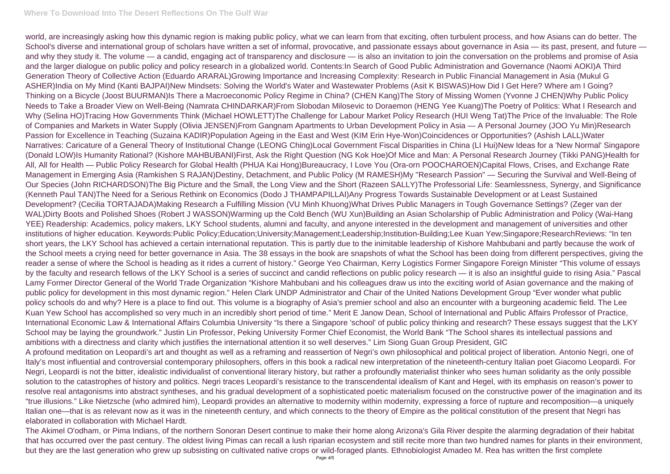## **Where To Download Into The Desert Reflections On The Gulf War**

world, are increasingly asking how this dynamic region is making public policy, what we can learn from that exciting, often turbulent process, and how Asians can do better. The School's diverse and international group of scholars have written a set of informal, provocative, and passionate essays about governance in Asia - its past, present, and future and why they study it. The volume — a candid, engaging act of transparency and disclosure — is also an invitation to join the conversation on the problems and promise of Asia and the larger dialogue on public policy and policy research in a globalized world. Contents:In Search of Good Public Administration and Governance (Naomi AOKI)A Third Generation Theory of Collective Action (Eduardo ARARAL)Growing Importance and Increasing Complexity: Research in Public Financial Management in Asia (Mukul G ASHER)India on My Mind (Kanti BAJPAI)New Mindsets: Solving the World's Water and Wastewater Problems (Asit K BISWAS)How Did I Get Here? Where am I Going? Thinking on a Bicycle (Joost BUURMAN)Is There a Macroeconomic Policy Regime in China? (CHEN Kang)The Story of Missing Women (Yvonne J CHEN)Why Public Policy Needs to Take a Broader View on Well-Being (Namrata CHINDARKAR)From Slobodan Milosevic to Doraemon (HENG Yee Kuang)The Poetry of Politics: What I Research and Why (Selina HO)Tracing How Governments Think (Michael HOWLETT)The Challenge for Labour Market Policy Research (HUI Weng Tat)The Price of the Invaluable: The Role of Companies and Markets in Water Supply (Olivia JENSEN)From Gangnam Apartments to Urban Development Policy in Asia — A Personal Journey (JOO Yu Min)Research Passion for Excellence in Teaching (Suzaina KADIR)Population Ageing in the East and West (KIM Erin Hye-Won)Coincidences or Opportunities? (Ashish LALL)Water Narratives: Caricature of a General Theory of Institutional Change (LEONG Ching)Local Government Fiscal Disparities in China (LI Hui)New Ideas for a 'New Normal' Singapore (Donald LOW)Is Humanity Rational? (Kishore MAHBUBANI)First, Ask the Right Question (NG Kok Hoe)Of Mice and Man: A Personal Research Journey (Tikki PANG)Health for All, All for Health — Public Policy Research for Global Health (PHUA Kai Hong)Bureaucracy, I Love You (Ora-orn POOCHAROEN)Capital Flows, Crises, and Exchange Rate Management in Emerging Asia (Ramkishen S RAJAN)Destiny, Detachment, and Public Policy (M RAMESH)My "Research Passion" — Securing the Survival and Well-Being of Our Species (John RICHARDSON)The Big Picture and the Small, the Long View and the Short (Razeen SALLY)The Professorial Life: Seamlessness, Synergy, and Significance (Kenneth Paul TAN)The Need for a Serious Rethink on Economics (Dodo J THAMPAPILLAI)Any Progress Towards Sustainable Development or at Least Sustained Development? (Cecilia TORTAJADA)Making Research a Fulfilling Mission (VU Minh Khuong)What Drives Public Managers in Tough Governance Settings? (Zeger van der WAL)Dirty Boots and Polished Shoes (Robert J WASSON)Warming up the Cold Bench (WU Xun)Building an Asian Scholarship of Public Administration and Policy (Wai-Hang YEE) Readership: Academics, policy makers, LKY School students, alumni and faculty, and anyone interested in the development and management of universities and other institutions of higher education. Keywords:Public Policy;Education;University;Management;Leadership;Institution-Building;Lee Kuan Yew;Singapore;ResearchReviews: "In ten short years, the LKY School has achieved a certain international reputation. This is partly due to the inimitable leadership of Kishore Mahbubani and partly because the work of the School meets a crying need for better governance in Asia. The 38 essays in the book are snapshots of what the School has been doing from different perspectives, giving the reader a sense of where the School is heading as it rides a current of history." George Yeo Chairman, Kerry Logistics Former Singapore Foreign Minister "This volume of essays by the faculty and research fellows of the LKY School is a series of succinct and candid reflections on public policy research — it is also an insightful guide to rising Asia." Pascal Lamy Former Director General of the World Trade Organization "Kishore Mahbubani and his colleagues draw us into the exciting world of Asian governance and the making of public policy for development in this most dynamic region." Helen Clark UNDP Administrator and Chair of the United Nations Development Group "Ever wonder what public policy schools do and why? Here is a place to find out. This volume is a biography of Asia's premier school and also an encounter with a burgeoning academic field. The Lee Kuan Yew School has accomplished so very much in an incredibly short period of time." Merit E Janow Dean, School of International and Public Affairs Professor of Practice, International Economic Law & International Affairs Columbia University "Is there a Singapore 'school' of public policy thinking and research? These essays suggest that the LKY School may be laying the groundwork." Justin Lin Professor, Peking University Former Chief Economist, the World Bank "The School shares its intellectual passions and ambitions with a directness and clarity which justifies the international attention it so well deserves." Lim Siong Guan Group President, GIC A profound meditation on Leopardi's art and thought as well as a reframing and reassertion of Negri's own philosophical and political project of liberation. Antonio Negri, one of Italy's most influential and controversial contemporary philosophers, offers in this book a radical new interpretation of the nineteenth-century Italian poet Giacomo Leopardi. For Negri, Leopardi is not the bitter, idealistic individualist of conventional literary history, but rather a profoundly materialist thinker who sees human solidarity as the only possible solution to the catastrophes of history and politics. Negri traces Leopardi's resistance to the transcendental idealism of Kant and Hegel, with its emphasis on reason's power to resolve real antagonisms into abstract syntheses, and his gradual development of a sophisticated poetic materialism focused on the constructive power of the imagination and its "true illusions." Like Nietzsche (who admired him), Leopardi provides an alternative to modernity within modernity, expressing a force of rupture and recomposition—a uniquely Italian one—that is as relevant now as it was in the nineteenth century, and which connects to the theory of Empire as the political constitution of the present that Negri has elaborated in collaboration with Michael Hardt.

The Akimel O'odham, or Pima Indians, of the northern Sonoran Desert continue to make their home along Arizona's Gila River despite the alarming degradation of their habitat that has occurred over the past century. The oldest living Pimas can recall a lush riparian ecosystem and still recite more than two hundred names for plants in their environment, but they are the last generation who grew up subsisting on cultivated native crops or wild-foraged plants. Ethnobiologist Amadeo M. Rea has written the first complete